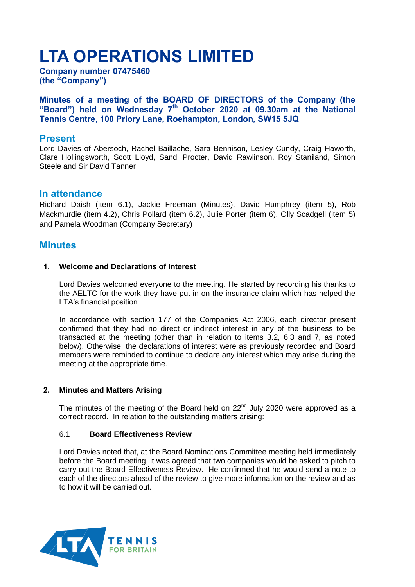# **LTA OPERATIONS LIMITED**

**Company number 07475460 (the "Company")**

**Minutes of a meeting of the BOARD OF DIRECTORS of the Company (the "Board") held on Wednesday 7 th October 2020 at 09.30am at the National Tennis Centre, 100 Priory Lane, Roehampton, London, SW15 5JQ** 

# **Present**

Lord Davies of Abersoch, Rachel Baillache, Sara Bennison, Lesley Cundy, Craig Haworth, Clare Hollingsworth, Scott Lloyd, Sandi Procter, David Rawlinson, Roy Staniland, Simon Steele and Sir David Tanner

# **In attendance**

Richard Daish (item 6.1), Jackie Freeman (Minutes), David Humphrey (item 5), Rob Mackmurdie (item 4.2), Chris Pollard (item 6.2), Julie Porter (item 6), Olly Scadgell (item 5) and Pamela Woodman (Company Secretary)

# **Minutes**

## **1. Welcome and Declarations of Interest**

Lord Davies welcomed everyone to the meeting. He started by recording his thanks to the AELTC for the work they have put in on the insurance claim which has helped the LTA's financial position.

In accordance with section 177 of the Companies Act 2006, each director present confirmed that they had no direct or indirect interest in any of the business to be transacted at the meeting (other than in relation to items 3.2, 6.3 and 7, as noted below). Otherwise, the declarations of interest were as previously recorded and Board members were reminded to continue to declare any interest which may arise during the meeting at the appropriate time.

## **2. Minutes and Matters Arising**

The minutes of the meeting of the Board held on  $22<sup>nd</sup>$  July 2020 were approved as a correct record. In relation to the outstanding matters arising:

## 6.1 **Board Effectiveness Review**

Lord Davies noted that, at the Board Nominations Committee meeting held immediately before the Board meeting, it was agreed that two companies would be asked to pitch to carry out the Board Effectiveness Review. He confirmed that he would send a note to each of the directors ahead of the review to give more information on the review and as to how it will be carried out.

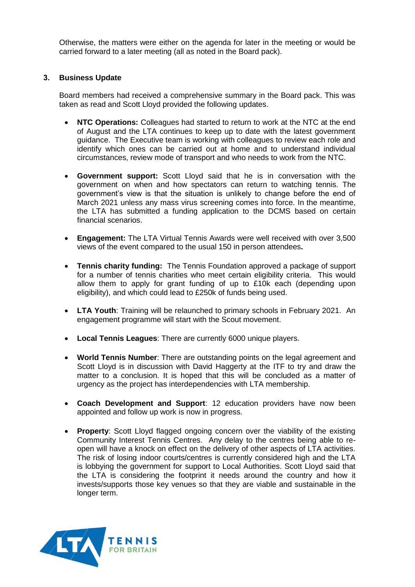Otherwise, the matters were either on the agenda for later in the meeting or would be carried forward to a later meeting (all as noted in the Board pack).

## **3. Business Update**

Board members had received a comprehensive summary in the Board pack. This was taken as read and Scott Lloyd provided the following updates.

- **NTC Operations:** Colleagues had started to return to work at the NTC at the end of August and the LTA continues to keep up to date with the latest government guidance. The Executive team is working with colleagues to review each role and identify which ones can be carried out at home and to understand individual circumstances, review mode of transport and who needs to work from the NTC.
- **Government support:** Scott Lloyd said that he is in conversation with the government on when and how spectators can return to watching tennis. The government's view is that the situation is unlikely to change before the end of March 2021 unless any mass virus screening comes into force. In the meantime, the LTA has submitted a funding application to the DCMS based on certain financial scenarios.
- **Engagement:** The LTA Virtual Tennis Awards were well received with over 3,500 views of the event compared to the usual 150 in person attendees**.**
- **Tennis charity funding:** The Tennis Foundation approved a package of support for a number of tennis charities who meet certain eligibility criteria. This would allow them to apply for grant funding of up to £10k each (depending upon eligibility), and which could lead to £250k of funds being used.
- **LTA Youth**: Training will be relaunched to primary schools in February 2021. An engagement programme will start with the Scout movement.
- **Local Tennis Leagues**: There are currently 6000 unique players.
- **World Tennis Number**: There are outstanding points on the legal agreement and Scott Lloyd is in discussion with David Haggerty at the ITF to try and draw the matter to a conclusion. It is hoped that this will be concluded as a matter of urgency as the project has interdependencies with LTA membership.
- **Coach Development and Support**: 12 education providers have now been appointed and follow up work is now in progress.
- **Property**: Scott Lloyd flagged ongoing concern over the viability of the existing Community Interest Tennis Centres. Any delay to the centres being able to reopen will have a knock on effect on the delivery of other aspects of LTA activities. The risk of losing indoor courts/centres is currently considered high and the LTA is lobbying the government for support to Local Authorities. Scott Lloyd said that the LTA is considering the footprint it needs around the country and how it invests/supports those key venues so that they are viable and sustainable in the longer term.

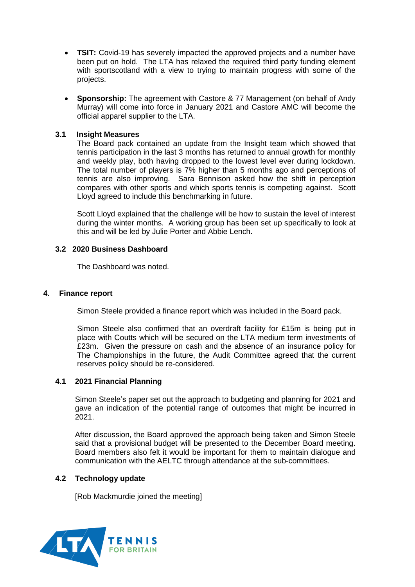- **TSIT:** Covid-19 has severely impacted the approved projects and a number have been put on hold. The LTA has relaxed the required third party funding element with sportscotland with a view to trying to maintain progress with some of the projects.
- **Sponsorship:** The agreement with Castore & 77 Management (on behalf of Andy Murray) will come into force in January 2021 and Castore AMC will become the official apparel supplier to the LTA.

## **3.1 Insight Measures**

The Board pack contained an update from the Insight team which showed that tennis participation in the last 3 months has returned to annual growth for monthly and weekly play, both having dropped to the lowest level ever during lockdown. The total number of players is 7% higher than 5 months ago and perceptions of tennis are also improving. Sara Bennison asked how the shift in perception compares with other sports and which sports tennis is competing against. Scott Lloyd agreed to include this benchmarking in future.

Scott Lloyd explained that the challenge will be how to sustain the level of interest during the winter months. A working group has been set up specifically to look at this and will be led by Julie Porter and Abbie Lench.

## **3.2 2020 Business Dashboard**

The Dashboard was noted.

## **4. Finance report**

Simon Steele provided a finance report which was included in the Board pack.

Simon Steele also confirmed that an overdraft facility for £15m is being put in place with Coutts which will be secured on the LTA medium term investments of £23m. Given the pressure on cash and the absence of an insurance policy for The Championships in the future, the Audit Committee agreed that the current reserves policy should be re-considered.

## **4.1 2021 Financial Planning**

Simon Steele's paper set out the approach to budgeting and planning for 2021 and gave an indication of the potential range of outcomes that might be incurred in 2021.

After discussion, the Board approved the approach being taken and Simon Steele said that a provisional budget will be presented to the December Board meeting. Board members also felt it would be important for them to maintain dialogue and communication with the AELTC through attendance at the sub-committees.

## **4.2 Technology update**

[Rob Mackmurdie joined the meeting]

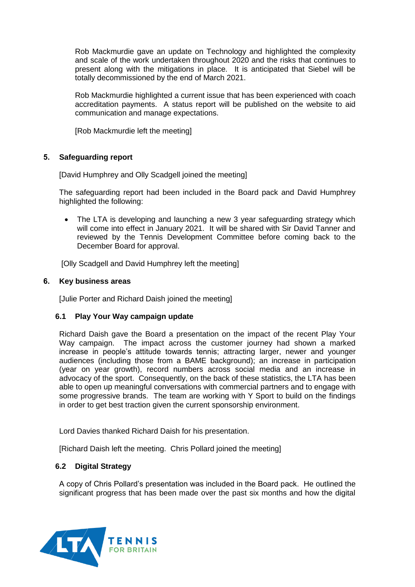Rob Mackmurdie gave an update on Technology and highlighted the complexity and scale of the work undertaken throughout 2020 and the risks that continues to present along with the mitigations in place. It is anticipated that Siebel will be totally decommissioned by the end of March 2021.

Rob Mackmurdie highlighted a current issue that has been experienced with coach accreditation payments. A status report will be published on the website to aid communication and manage expectations.

[Rob Mackmurdie left the meeting]

## **5. Safeguarding report**

[David Humphrey and Olly Scadgell joined the meeting]

The safeguarding report had been included in the Board pack and David Humphrey highlighted the following:

- The LTA is developing and launching a new 3 year safeguarding strategy which will come into effect in January 2021. It will be shared with Sir David Tanner and reviewed by the Tennis Development Committee before coming back to the December Board for approval.
- [Olly Scadgell and David Humphrey left the meeting]

## **6. Key business areas**

[Julie Porter and Richard Daish joined the meeting]

## **6.1 Play Your Way campaign update**

Richard Daish gave the Board a presentation on the impact of the recent Play Your Way campaign. The impact across the customer journey had shown a marked increase in people's attitude towards tennis; attracting larger, newer and younger audiences (including those from a BAME background); an increase in participation (year on year growth), record numbers across social media and an increase in advocacy of the sport. Consequently, on the back of these statistics, the LTA has been able to open up meaningful conversations with commercial partners and to engage with some progressive brands. The team are working with Y Sport to build on the findings in order to get best traction given the current sponsorship environment.

Lord Davies thanked Richard Daish for his presentation.

[Richard Daish left the meeting. Chris Pollard joined the meeting]

# **6.2 Digital Strategy**

A copy of Chris Pollard's presentation was included in the Board pack. He outlined the significant progress that has been made over the past six months and how the digital

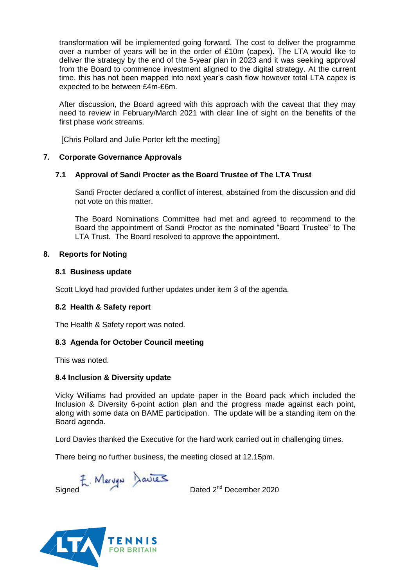transformation will be implemented going forward. The cost to deliver the programme over a number of years will be in the order of £10m (capex). The LTA would like to deliver the strategy by the end of the 5-year plan in 2023 and it was seeking approval from the Board to commence investment aligned to the digital strategy. At the current time, this has not been mapped into next year's cash flow however total LTA capex is expected to be between £4m-£6m.

After discussion, the Board agreed with this approach with the caveat that they may need to review in February/March 2021 with clear line of sight on the benefits of the first phase work streams.

[Chris Pollard and Julie Porter left the meeting]

# **7. Corporate Governance Approvals**

## **7.1 Approval of Sandi Procter as the Board Trustee of The LTA Trust**

Sandi Procter declared a conflict of interest, abstained from the discussion and did not vote on this matter.

The Board Nominations Committee had met and agreed to recommend to the Board the appointment of Sandi Proctor as the nominated "Board Trustee" to The LTA Trust. The Board resolved to approve the appointment.

## **8. Reports for Noting**

## **8.1 Business update**

Scott Lloyd had provided further updates under item 3 of the agenda.

# **8.2 Health & Safety report**

The Health & Safety report was noted.

## **8**.**3 Agenda for October Council meeting**

This was noted.

## **8.4 Inclusion & Diversity update**

Vicky Williams had provided an update paper in the Board pack which included the Inclusion & Diversity 6-point action plan and the progress made against each point, along with some data on BAME participation. The update will be a standing item on the Board agenda.

Lord Davies thanked the Executive for the hard work carried out in challenging times.

There being no further business, the meeting closed at 12.15pm.

F. Mervyn Davies<br>Dated 2<sup>nd</sup> December 2020

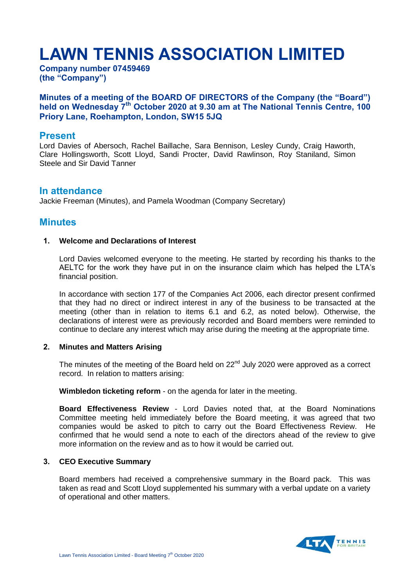# **LAWN TENNIS ASSOCIATION LIMITED**

**Company number 07459469 (the "Company")**

# **Minutes of a meeting of the BOARD OF DIRECTORS of the Company (the "Board") held on Wednesday 7th October 2020 at 9.30 am at The National Tennis Centre, 100 Priory Lane, Roehampton, London, SW15 5JQ**

## **Present**

Lord Davies of Abersoch, Rachel Baillache, Sara Bennison, Lesley Cundy, Craig Haworth, Clare Hollingsworth, Scott Lloyd, Sandi Procter, David Rawlinson, Roy Staniland, Simon Steele and Sir David Tanner

## **In attendance**

Jackie Freeman (Minutes), and Pamela Woodman (Company Secretary)

# **Minutes**

#### **1. Welcome and Declarations of Interest**

Lord Davies welcomed everyone to the meeting. He started by recording his thanks to the AELTC for the work they have put in on the insurance claim which has helped the LTA's financial position.

In accordance with section 177 of the Companies Act 2006, each director present confirmed that they had no direct or indirect interest in any of the business to be transacted at the meeting (other than in relation to items 6.1 and 6.2, as noted below). Otherwise, the declarations of interest were as previously recorded and Board members were reminded to continue to declare any interest which may arise during the meeting at the appropriate time.

#### **2. Minutes and Matters Arising**

The minutes of the meeting of the Board held on  $22<sup>nd</sup>$  July 2020 were approved as a correct record. In relation to matters arising:

**Wimbledon ticketing reform** - on the agenda for later in the meeting.

**Board Effectiveness Review** - Lord Davies noted that, at the Board Nominations Committee meeting held immediately before the Board meeting, it was agreed that two companies would be asked to pitch to carry out the Board Effectiveness Review. He confirmed that he would send a note to each of the directors ahead of the review to give more information on the review and as to how it would be carried out.

#### **3. CEO Executive Summary**

Board members had received a comprehensive summary in the Board pack. This was taken as read and Scott Lloyd supplemented his summary with a verbal update on a variety of operational and other matters.

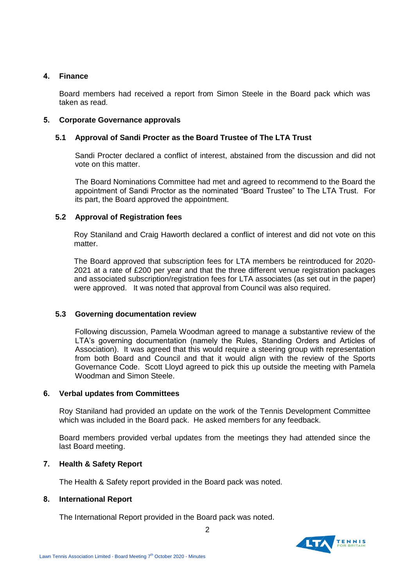## **4. Finance**

Board members had received a report from Simon Steele in the Board pack which was taken as read.

## **5. Corporate Governance approvals**

## **5.1 Approval of Sandi Procter as the Board Trustee of The LTA Trust**

Sandi Procter declared a conflict of interest, abstained from the discussion and did not vote on this matter.

The Board Nominations Committee had met and agreed to recommend to the Board the appointment of Sandi Proctor as the nominated "Board Trustee" to The LTA Trust. For its part, the Board approved the appointment.

## **5.2 Approval of Registration fees**

Roy Staniland and Craig Haworth declared a conflict of interest and did not vote on this matter.

The Board approved that subscription fees for LTA members be reintroduced for 2020- 2021 at a rate of £200 per year and that the three different venue registration packages and associated subscription/registration fees for LTA associates (as set out in the paper) were approved. It was noted that approval from Council was also required.

## **5.3 Governing documentation review**

Following discussion, Pamela Woodman agreed to manage a substantive review of the LTA's governing documentation (namely the Rules, Standing Orders and Articles of Association). It was agreed that this would require a steering group with representation from both Board and Council and that it would align with the review of the Sports Governance Code. Scott Lloyd agreed to pick this up outside the meeting with Pamela Woodman and Simon Steele.

## **6. Verbal updates from Committees**

Roy Staniland had provided an update on the work of the Tennis Development Committee which was included in the Board pack. He asked members for any feedback.

Board members provided verbal updates from the meetings they had attended since the last Board meeting.

## **7. Health & Safety Report**

The Health & Safety report provided in the Board pack was noted.

## **8. International Report**

The International Report provided in the Board pack was noted.